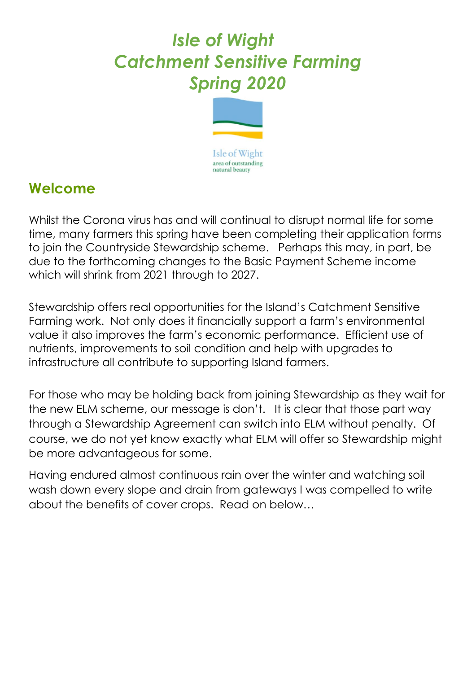# *Isle of Wight Catchment Sensitive Farming Spring 2020*



# **Welcome**

Whilst the Corona virus has and will continual to disrupt normal life for some time, many farmers this spring have been completing their application forms to join the Countryside Stewardship scheme. Perhaps this may, in part, be due to the forthcoming changes to the Basic Payment Scheme income which will shrink from 2021 through to 2027.

Stewardship offers real opportunities for the Island's Catchment Sensitive Farming work. Not only does it financially support a farm's environmental value it also improves the farm's economic performance. Efficient use of nutrients, improvements to soil condition and help with upgrades to infrastructure all contribute to supporting Island farmers.

For those who may be holding back from joining Stewardship as they wait for the new ELM scheme, our message is don't. It is clear that those part way through a Stewardship Agreement can switch into ELM without penalty. Of course, we do not yet know exactly what ELM will offer so Stewardship might be more advantageous for some.

Having endured almost continuous rain over the winter and watching soil wash down every slope and drain from gateways I was compelled to write about the benefits of cover crops. Read on below…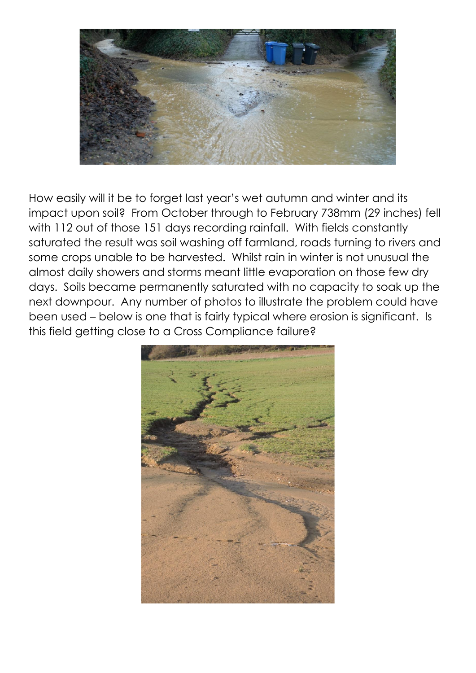

How easily will it be to forget last year's wet autumn and winter and its impact upon soil? From October through to February 738mm (29 inches) fell with 112 out of those 151 days recording rainfall. With fields constantly saturated the result was soil washing off farmland, roads turning to rivers and some crops unable to be harvested. Whilst rain in winter is not unusual the almost daily showers and storms meant little evaporation on those few dry days. Soils became permanently saturated with no capacity to soak up the next downpour. Any number of photos to illustrate the problem could have been used – below is one that is fairly typical where erosion is significant. Is this field getting close to a Cross Compliance failure?

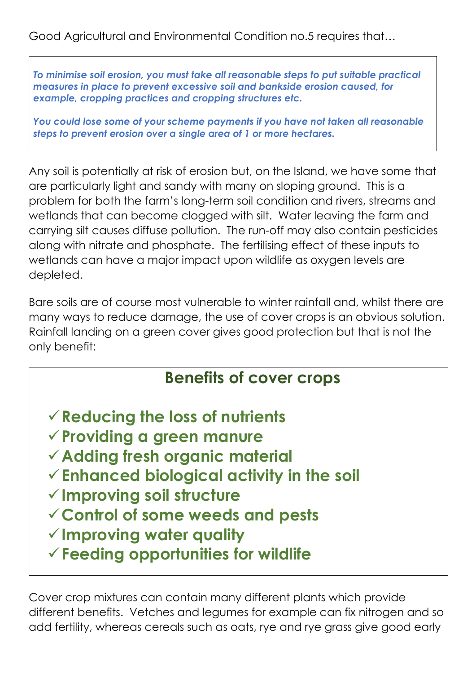Good Agricultural and Environmental Condition no.5 requires that…

*To minimise soil erosion, you must take all reasonable steps to put suitable practical measures in place to prevent excessive soil and bankside erosion caused, for example, cropping practices and cropping structures etc.*

*You could lose some of your scheme payments if you have not taken all reasonable steps to prevent erosion over a single area of 1 or more hectares.*

Any soil is potentially at risk of erosion but, on the Island, we have some that are particularly light and sandy with many on sloping ground. This is a problem for both the farm's long-term soil condition and rivers, streams and wetlands that can become clogged with silt. Water leaving the farm and carrying silt causes diffuse pollution. The run-off may also contain pesticides along with nitrate and phosphate. The fertilising effect of these inputs to wetlands can have a major impact upon wildlife as oxygen levels are depleted.

Bare soils are of course most vulnerable to winter rainfall and, whilst there are many ways to reduce damage, the use of cover crops is an obvious solution. Rainfall landing on a green cover gives good protection but that is not the only benefit:

# **Benefits of cover crops**

- ✓**Reducing the loss of nutrients**
- ✓**Providing a green manure**
- ✓**Adding fresh organic material**
- ✓**Enhanced biological activity in the soil**
- ✓**Improving soil structure**
- ✓**Control of some weeds and pests**
- ✓**Improving water quality**
- ✓**Feeding opportunities for wildlife**

Cover crop mixtures can contain many different plants which provide different benefits. Vetches and legumes for example can fix nitrogen and so add fertility, whereas cereals such as oats, rye and rye grass give good early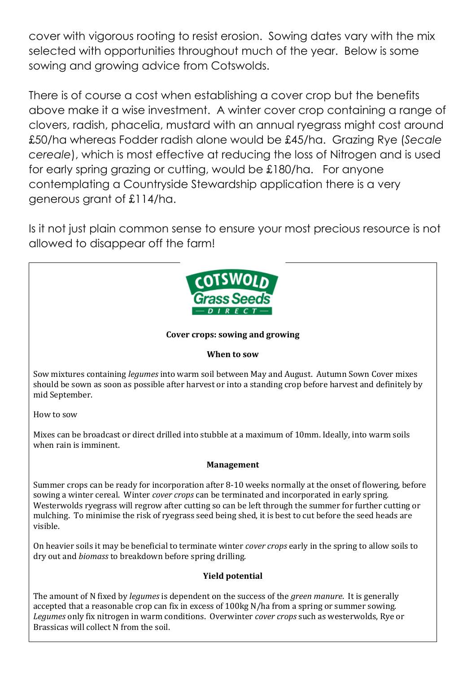cover with vigorous rooting to resist erosion. Sowing dates vary with the mix selected with opportunities throughout much of the year. Below is some sowing and growing advice from Cotswolds.

There is of course a cost when establishing a cover crop but the benefits above make it a wise investment. A winter cover crop containing a range of clovers, radish, phacelia, mustard with an annual ryegrass might cost around £50/ha whereas Fodder radish alone would be £45/ha. Grazing Rye (*Secale cereale*), which is most effective at reducing the loss of Nitrogen and is used for early spring grazing or cutting, would be £180/ha. For anyone contemplating a Countryside Stewardship application there is a very generous grant of £114/ha.

Is it not just plain common sense to ensure your most precious resource is not allowed to disappear off the farm!



### **Cover crops: sowing and growing**

### **When to sow**

Sow mixtures containing *legumes* into warm soil between May and August. Autumn Sown Cover mixes should be sown as soon as possible after harvest or into a standing crop before harvest and definitely by mid September.

How to sow

Mixes can be broadcast or direct drilled into stubble at a maximum of 10mm. Ideally, into warm soils when rain is imminent.

#### **Management**

Summer crops can be ready for incorporation after 8-10 weeks normally at the onset of flowering, before sowing a winter cereal. Winter *cover crops* can be terminated and incorporated in early spring. Westerwolds ryegrass will regrow after cutting so can be left through the summer for further cutting or mulching. To minimise the risk of ryegrass seed being shed, it is best to cut before the seed heads are visible.

On heavier soils it may be beneficial to terminate winter *cover crops* early in the spring to allow soils to dry out and *biomass* to breakdown before spring drilling.

#### **Yield potential**

The amount of N fixed by *legumes* is dependent on the success of the *green manure*. It is generally accepted that a reasonable crop can fix in excess of 100kg N/ha from a spring or summer sowing. *Legumes* only fix nitrogen in warm conditions. Overwinter *cover crops* such as westerwolds, Rye or Brassicas will collect N from the soil.